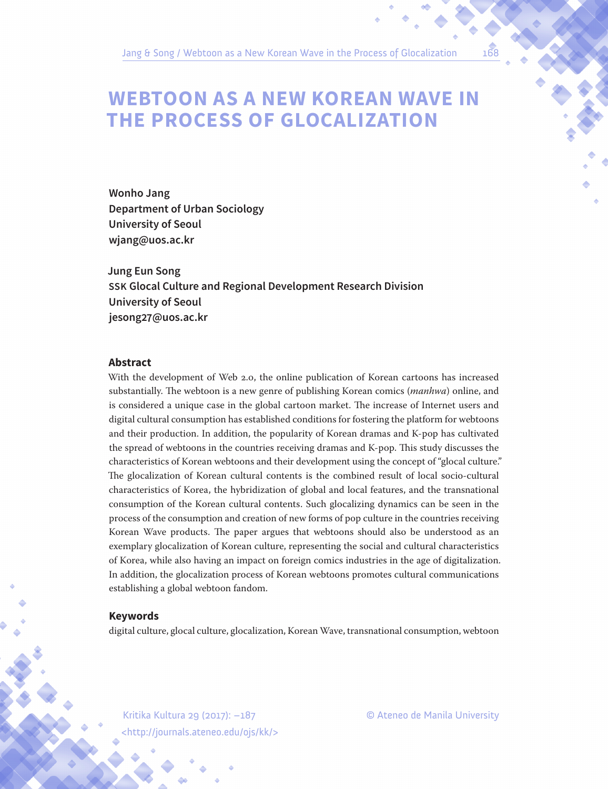# **WEBTOON AS A NEW KOREAN WAVE IN THE PROCESS OF GLOCALIZATION**

**Wonho Jang Department of Urban Sociology University of Seoul wjang@uos.ac.kr**

**Jung Eun Song SSK Glocal Culture and Regional Development Research Division University of Seoul jesong27@uos.ac.kr**

#### **Abstract**

With the development of Web 2.0, the online publication of Korean cartoons has increased substantially. The webtoon is a new genre of publishing Korean comics (*manhwa*) online, and is considered a unique case in the global cartoon market. The increase of Internet users and digital cultural consumption has established conditions for fostering the platform for webtoons and their production. In addition, the popularity of Korean dramas and K-pop has cultivated the spread of webtoons in the countries receiving dramas and K-pop. This study discusses the characteristics of Korean webtoons and their development using the concept of "glocal culture." The glocalization of Korean cultural contents is the combined result of local socio-cultural characteristics of Korea, the hybridization of global and local features, and the transnational consumption of the Korean cultural contents. Such glocalizing dynamics can be seen in the process of the consumption and creation of new forms of pop culture in the countries receiving Korean Wave products. The paper argues that webtoons should also be understood as an exemplary glocalization of Korean culture, representing the social and cultural characteristics of Korea, while also having an impact on foreign comics industries in the age of digitalization. In addition, the glocalization process of Korean webtoons promotes cultural communications establishing a global webtoon fandom.

#### **Keywords**

digital culture, glocal culture, glocalization, Korean Wave, transnational consumption, webtoon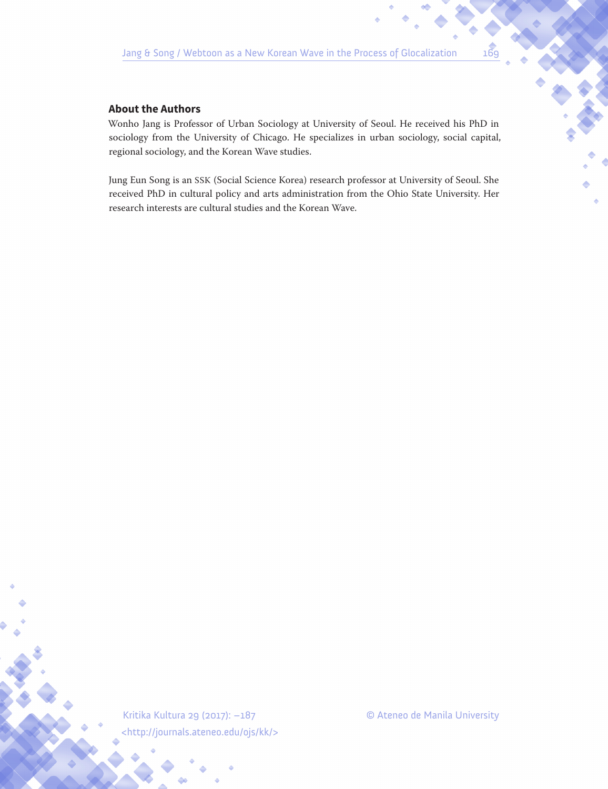### **About the Authors**

Wonho Jang is Professor of Urban Sociology at University of Seoul. He received his PhD in sociology from the University of Chicago. He specializes in urban sociology, social capital, regional sociology, and the Korean Wave studies.

Jung Eun Song is an SSK (Social Science Korea) research professor at University of Seoul. She received PhD in cultural policy and arts administration from the Ohio State University. Her research interests are cultural studies and the Korean Wave.

<http://journals.ateneo.edu/ojs/kk/>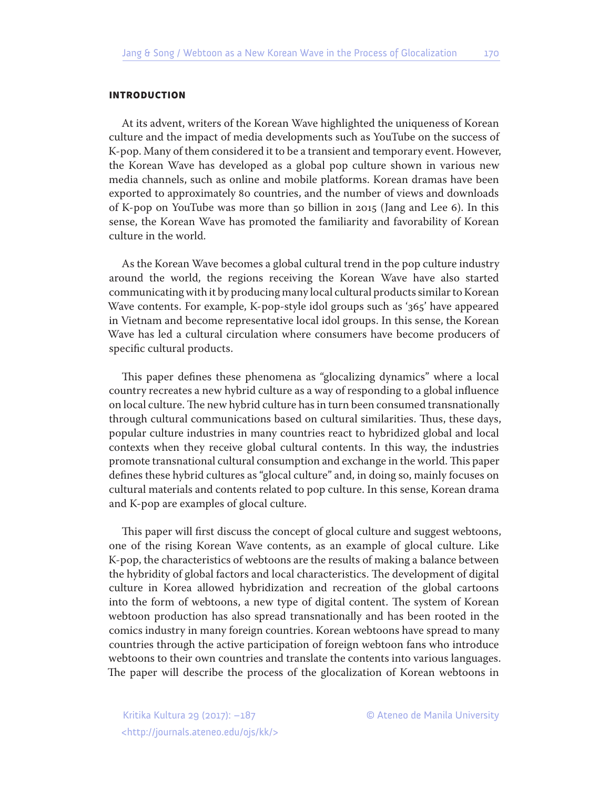#### INTRODUCTION

At its advent, writers of the Korean Wave highlighted the uniqueness of Korean culture and the impact of media developments such as YouTube on the success of K-pop. Many of them considered it to be a transient and temporary event. However, the Korean Wave has developed as a global pop culture shown in various new media channels, such as online and mobile platforms. Korean dramas have been exported to approximately 80 countries, and the number of views and downloads of K-pop on YouTube was more than 50 billion in 2015 (Jang and Lee 6). In this sense, the Korean Wave has promoted the familiarity and favorability of Korean culture in the world.

As the Korean Wave becomes a global cultural trend in the pop culture industry around the world, the regions receiving the Korean Wave have also started communicating with it by producing many local cultural products similar to Korean Wave contents. For example, K-pop-style idol groups such as '365' have appeared in Vietnam and become representative local idol groups. In this sense, the Korean Wave has led a cultural circulation where consumers have become producers of specific cultural products.

This paper defines these phenomena as "glocalizing dynamics" where a local country recreates a new hybrid culture as a way of responding to a global influence on local culture. The new hybrid culture has in turn been consumed transnationally through cultural communications based on cultural similarities. Thus, these days, popular culture industries in many countries react to hybridized global and local contexts when they receive global cultural contents. In this way, the industries promote transnational cultural consumption and exchange in the world. This paper defines these hybrid cultures as "glocal culture" and, in doing so, mainly focuses on cultural materials and contents related to pop culture. In this sense, Korean drama and K-pop are examples of glocal culture.

This paper will first discuss the concept of glocal culture and suggest webtoons, one of the rising Korean Wave contents, as an example of glocal culture. Like K-pop, the characteristics of webtoons are the results of making a balance between the hybridity of global factors and local characteristics. The development of digital culture in Korea allowed hybridization and recreation of the global cartoons into the form of webtoons, a new type of digital content. The system of Korean webtoon production has also spread transnationally and has been rooted in the comics industry in many foreign countries. Korean webtoons have spread to many countries through the active participation of foreign webtoon fans who introduce webtoons to their own countries and translate the contents into various languages. The paper will describe the process of the glocalization of Korean webtoons in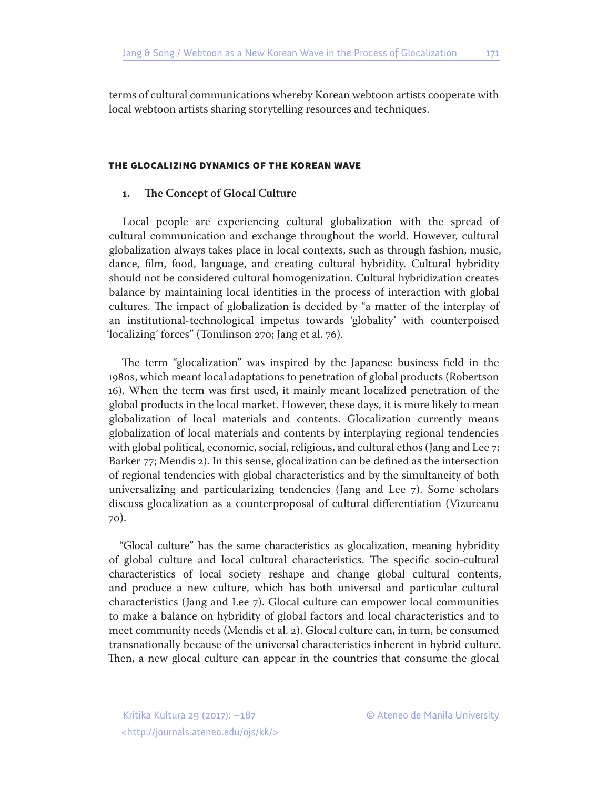terms of cultural communications whereby Korean webtoon artists cooperate with local webtoon artists sharing storytelling resources and techniques.

#### THE GLOCALIZING DYNAMICS OF THE KOREAN WAVE

#### **1. The Concept of Glocal Culture**

Local people are experiencing cultural globalization with the spread of cultural communication and exchange throughout the world. However, cultural globalization always takes place in local contexts, such as through fashion, music, dance, film, food, language, and creating cultural hybridity. Cultural hybridity should not be considered cultural homogenization. Cultural hybridization creates balance by maintaining local identities in the process of interaction with global cultures. The impact of globalization is decided by "a matter of the interplay of an institutional-technological impetus towards 'globality' with counterpoised 'localizing' forces" (Tomlinson 270; Jang et al. 76).

The term "glocalization" was inspired by the Japanese business field in the 1980s, which meant local adaptations to penetration of global products (Robertson 16). When the term was first used, it mainly meant localized penetration of the global products in the local market. However, these days, it is more likely to mean globalization of local materials and contents. Glocalization currently means globalization of local materials and contents by interplaying regional tendencies with global political, economic, social, religious, and cultural ethos (Jang and Lee 7; Barker 77; Mendis 2). In this sense, glocalization can be defined as the intersection of regional tendencies with global characteristics and by the simultaneity of both universalizing and particularizing tendencies (Jang and Lee 7). Some scholars discuss glocalization as a counterproposal of cultural differentiation (Vizureanu 70).

"Glocal culture" has the same characteristics as glocalization, meaning hybridity of global culture and local cultural characteristics. The specific socio-cultural characteristics of local society reshape and change global cultural contents, and produce a new culture, which has both universal and particular cultural characteristics (Jang and Lee 7). Glocal culture can empower local communities to make a balance on hybridity of global factors and local characteristics and to meet community needs (Mendis et al. 2). Glocal culture can, in turn, be consumed transnationally because of the universal characteristics inherent in hybrid culture. Then, a new glocal culture can appear in the countries that consume the glocal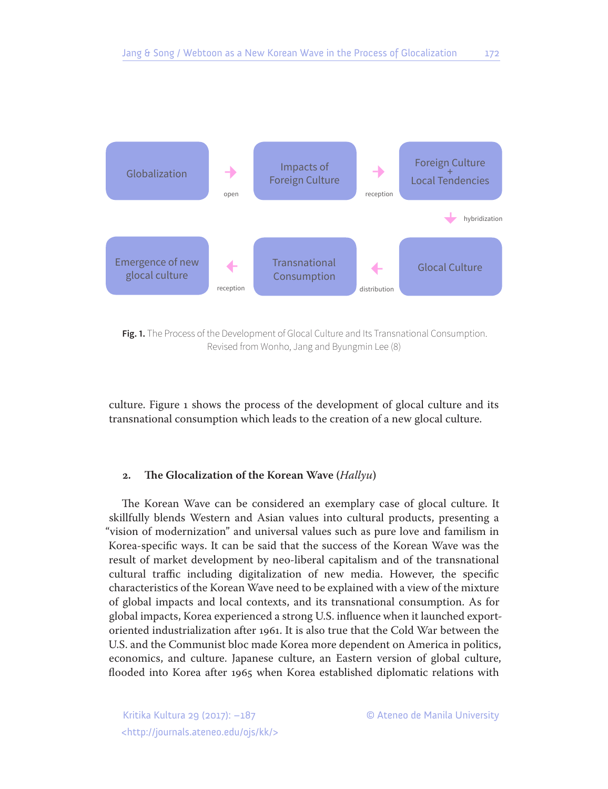

**Fig. 1.** The Process of the Development of Glocal Culture and Its Transnational Consumption. Revised from Wonho, Jang and Byungmin Lee (8)

culture. Figure 1 shows the process of the development of glocal culture and its transnational consumption which leads to the creation of a new glocal culture.

#### **2. The Glocalization of the Korean Wave (***Hallyu***)**

The Korean Wave can be considered an exemplary case of glocal culture. It skillfully blends Western and Asian values into cultural products, presenting a "vision of modernization" and universal values such as pure love and familism in Korea-specific ways. It can be said that the success of the Korean Wave was the result of market development by neo-liberal capitalism and of the transnational cultural traffic including digitalization of new media. However, the specific characteristics of the Korean Wave need to be explained with a view of the mixture of global impacts and local contexts, and its transnational consumption. As for global impacts, Korea experienced a strong U.S. influence when it launched exportoriented industrialization after 1961. It is also true that the Cold War between the U.S. and the Communist bloc made Korea more dependent on America in politics, economics, and culture. Japanese culture, an Eastern version of global culture, flooded into Korea after 1965 when Korea established diplomatic relations with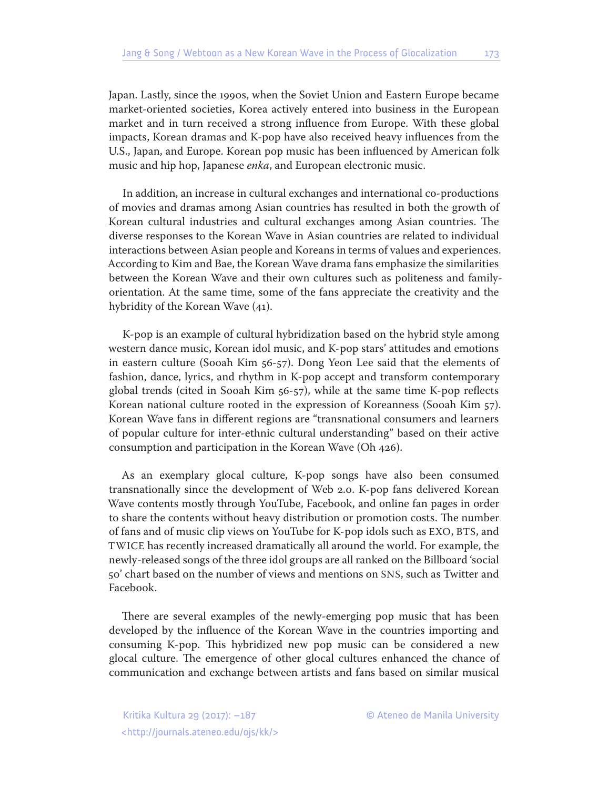Japan. Lastly, since the 1990s, when the Soviet Union and Eastern Europe became market-oriented societies, Korea actively entered into business in the European market and in turn received a strong influence from Europe. With these global impacts, Korean dramas and K-pop have also received heavy influences from the U.S., Japan, and Europe. Korean pop music has been influenced by American folk music and hip hop, Japanese *enka*, and European electronic music.

In addition, an increase in cultural exchanges and international co-productions of movies and dramas among Asian countries has resulted in both the growth of Korean cultural industries and cultural exchanges among Asian countries. The diverse responses to the Korean Wave in Asian countries are related to individual interactions between Asian people and Koreans in terms of values and experiences. According to Kim and Bae, the Korean Wave drama fans emphasize the similarities between the Korean Wave and their own cultures such as politeness and familyorientation. At the same time, some of the fans appreciate the creativity and the hybridity of the Korean Wave (41).

K-pop is an example of cultural hybridization based on the hybrid style among western dance music, Korean idol music, and K-pop stars' attitudes and emotions in eastern culture (Sooah Kim 56-57). Dong Yeon Lee said that the elements of fashion, dance, lyrics, and rhythm in K-pop accept and transform contemporary global trends (cited in Sooah Kim 56-57), while at the same time K-pop reflects Korean national culture rooted in the expression of Koreanness (Sooah Kim 57). Korean Wave fans in different regions are "transnational consumers and learners of popular culture for inter-ethnic cultural understanding" based on their active consumption and participation in the Korean Wave (Oh 426).

As an exemplary glocal culture, K-pop songs have also been consumed transnationally since the development of Web 2.0. K-pop fans delivered Korean Wave contents mostly through YouTube, Facebook, and online fan pages in order to share the contents without heavy distribution or promotion costs. The number of fans and of music clip views on YouTube for K-pop idols such as EXO, BTS, and TWICE has recently increased dramatically all around the world. For example, the newly-released songs of the three idol groups are all ranked on the Billboard 'social 50' chart based on the number of views and mentions on SNS, such as Twitter and Facebook.

There are several examples of the newly-emerging pop music that has been developed by the influence of the Korean Wave in the countries importing and consuming K-pop. This hybridized new pop music can be considered a new glocal culture. The emergence of other glocal cultures enhanced the chance of communication and exchange between artists and fans based on similar musical

<http://journals.ateneo.edu/ojs/kk/>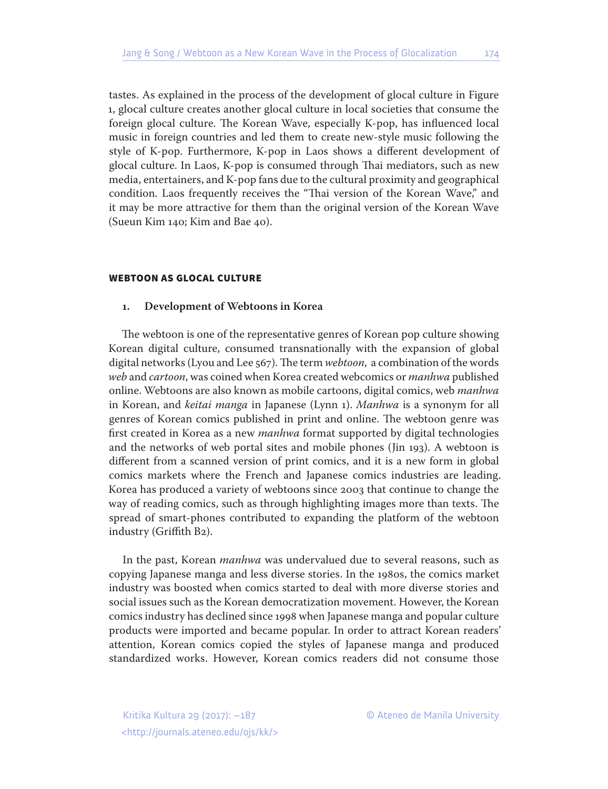tastes. As explained in the process of the development of glocal culture in Figure 1, glocal culture creates another glocal culture in local societies that consume the foreign glocal culture. The Korean Wave, especially K-pop, has influenced local music in foreign countries and led them to create new-style music following the style of K-pop. Furthermore, K-pop in Laos shows a different development of glocal culture. In Laos, K-pop is consumed through Thai mediators, such as new media, entertainers, and K-pop fans due to the cultural proximity and geographical condition. Laos frequently receives the "Thai version of the Korean Wave," and it may be more attractive for them than the original version of the Korean Wave (Sueun Kim 140; Kim and Bae 40).

#### WEBTOON AS GLOCAL CULTURE

#### **1. Development of Webtoons in Korea**

The webtoon is one of the representative genres of Korean pop culture showing Korean digital culture, consumed transnationally with the expansion of global digital networks (Lyou and Lee 567). The term *webtoon*, a combination of the words *web* and *cartoon*, was coined when Korea created webcomics or *manhwa* published online. Webtoons are also known as mobile cartoons, digital comics, web *manhwa* in Korean, and *keitai manga* in Japanese (Lynn 1). *Manhwa* is a synonym for all genres of Korean comics published in print and online. The webtoon genre was first created in Korea as a new *manhwa* format supported by digital technologies and the networks of web portal sites and mobile phones (Jin 193). A webtoon is different from a scanned version of print comics, and it is a new form in global comics markets where the French and Japanese comics industries are leading. Korea has produced a variety of webtoons since 2003 that continue to change the way of reading comics, such as through highlighting images more than texts. The spread of smart-phones contributed to expanding the platform of the webtoon industry (Griffith B2).

In the past, Korean *manhwa* was undervalued due to several reasons, such as copying Japanese manga and less diverse stories. In the 1980s, the comics market industry was boosted when comics started to deal with more diverse stories and social issues such as the Korean democratization movement. However, the Korean comics industry has declined since 1998 when Japanese manga and popular culture products were imported and became popular. In order to attract Korean readers' attention, Korean comics copied the styles of Japanese manga and produced standardized works. However, Korean comics readers did not consume those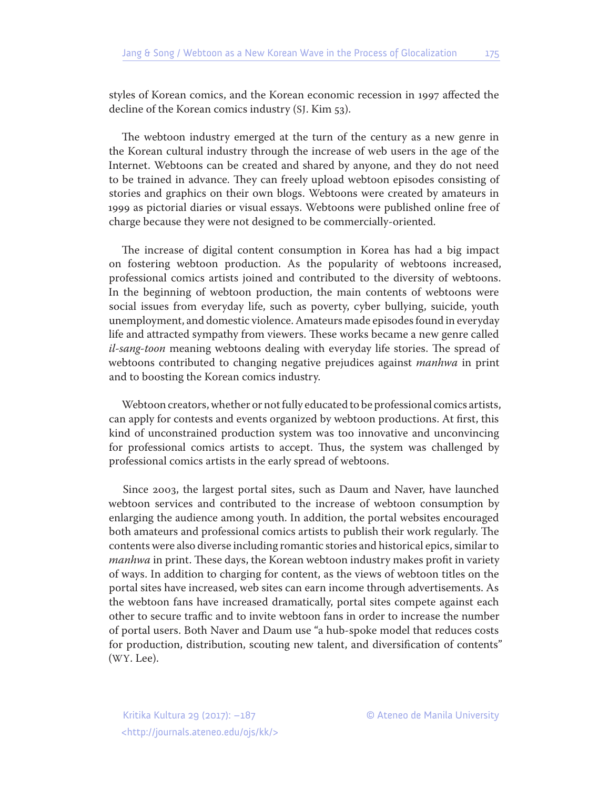styles of Korean comics, and the Korean economic recession in 1997 affected the decline of the Korean comics industry (SJ. Kim 53).

The webtoon industry emerged at the turn of the century as a new genre in the Korean cultural industry through the increase of web users in the age of the Internet. Webtoons can be created and shared by anyone, and they do not need to be trained in advance. They can freely upload webtoon episodes consisting of stories and graphics on their own blogs. Webtoons were created by amateurs in 1999 as pictorial diaries or visual essays. Webtoons were published online free of charge because they were not designed to be commercially-oriented.

The increase of digital content consumption in Korea has had a big impact on fostering webtoon production. As the popularity of webtoons increased, professional comics artists joined and contributed to the diversity of webtoons. In the beginning of webtoon production, the main contents of webtoons were social issues from everyday life, such as poverty, cyber bullying, suicide, youth unemployment, and domestic violence. Amateurs made episodes found in everyday life and attracted sympathy from viewers. These works became a new genre called *il-sang-toon* meaning webtoons dealing with everyday life stories. The spread of webtoons contributed to changing negative prejudices against *manhwa* in print and to boosting the Korean comics industry.

Webtoon creators, whether or not fully educated to be professional comics artists, can apply for contests and events organized by webtoon productions. At first, this kind of unconstrained production system was too innovative and unconvincing for professional comics artists to accept. Thus, the system was challenged by professional comics artists in the early spread of webtoons.

Since 2003, the largest portal sites, such as Daum and Naver, have launched webtoon services and contributed to the increase of webtoon consumption by enlarging the audience among youth. In addition, the portal websites encouraged both amateurs and professional comics artists to publish their work regularly. The contents were also diverse including romantic stories and historical epics, similar to *manhwa* in print. These days, the Korean webtoon industry makes profit in variety of ways. In addition to charging for content, as the views of webtoon titles on the portal sites have increased, web sites can earn income through advertisements. As the webtoon fans have increased dramatically, portal sites compete against each other to secure traffic and to invite webtoon fans in order to increase the number of portal users. Both Naver and Daum use "a hub-spoke model that reduces costs for production, distribution, scouting new talent, and diversification of contents" (WY. Lee).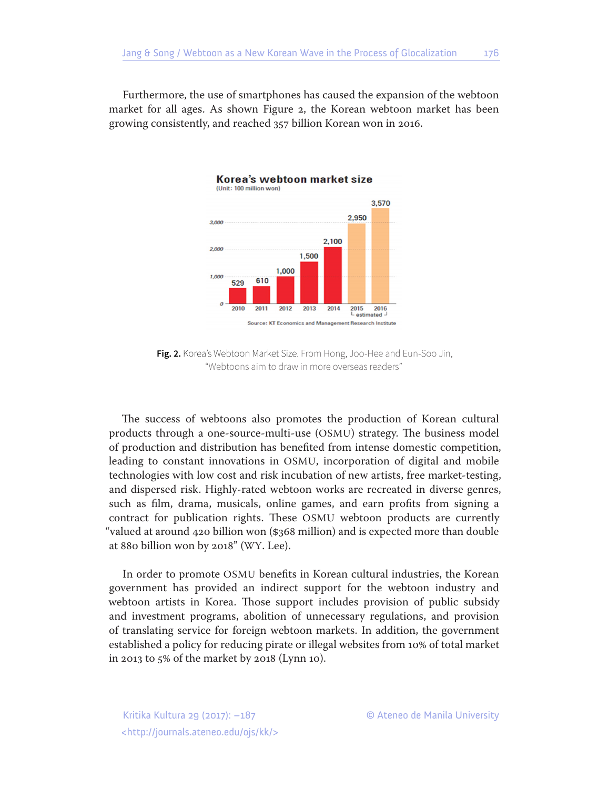Furthermore, the use of smartphones has caused the expansion of the webtoon market for all ages. As shown Figure 2, the Korean webtoon market has been growing consistently, and reached 357 billion Korean won in 2016.



Korea's webtoon market size (Unit: 100 million won)

**Fig. 2.** Korea's Webtoon Market Size. From Hong, Joo-Hee and Eun-Soo Jin, "Webtoons aim to draw in more overseas readers"

The success of webtoons also promotes the production of Korean cultural products through a one-source-multi-use (OSMU) strategy. The business model of production and distribution has benefited from intense domestic competition, leading to constant innovations in OSMU, incorporation of digital and mobile technologies with low cost and risk incubation of new artists, free market-testing, and dispersed risk. Highly-rated webtoon works are recreated in diverse genres, such as film, drama, musicals, online games, and earn profits from signing a contract for publication rights. These OSMU webtoon products are currently "valued at around 420 billion won (\$368 million) and is expected more than double at 880 billion won by 2018" (WY. Lee).

In order to promote OSMU benefits in Korean cultural industries, the Korean government has provided an indirect support for the webtoon industry and webtoon artists in Korea. Those support includes provision of public subsidy and investment programs, abolition of unnecessary regulations, and provision of translating service for foreign webtoon markets. In addition, the government established a policy for reducing pirate or illegal websites from 10% of total market in 2013 to 5% of the market by 2018 (Lynn 10).

<http://journals.ateneo.edu/ojs/kk/>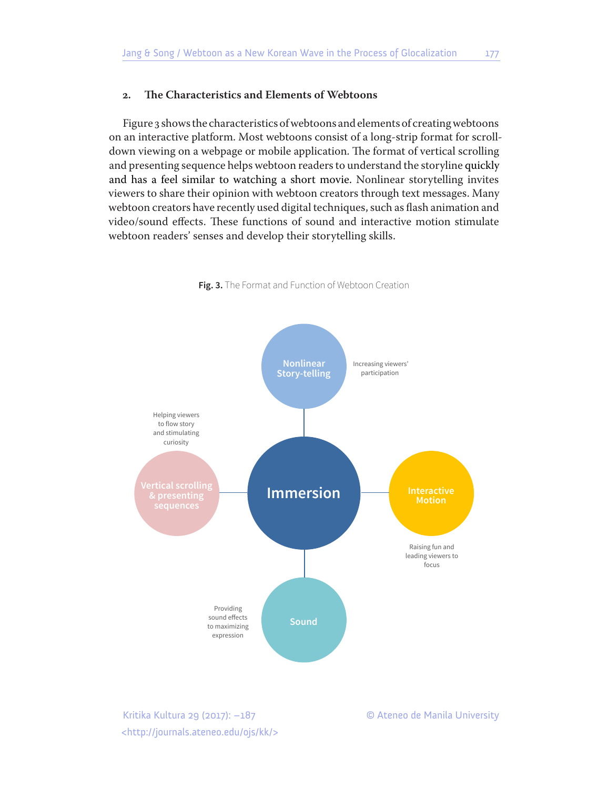## **2. The Characteristics and Elements of Webtoons**

Figure 3 shows the characteristics of webtoons and elements of creating webtoons on an interactive platform. Most webtoons consist of a long-strip format for scrolldown viewing on a webpage or mobile application. The format of vertical scrolling and presenting sequence helps webtoon readers to understand the storyline quickly and has a feel similar to watching a short movie. Nonlinear storytelling invites viewers to share their opinion with webtoon creators through text messages. Many webtoon creators have recently used digital techniques, such as flash animation and video/sound effects. These functions of sound and interactive motion stimulate webtoon readers' senses and develop their storytelling skills.



**Fig. 3.** The Format and Function of Webtoon Creation

<http://journals.ateneo.edu/ojs/kk/>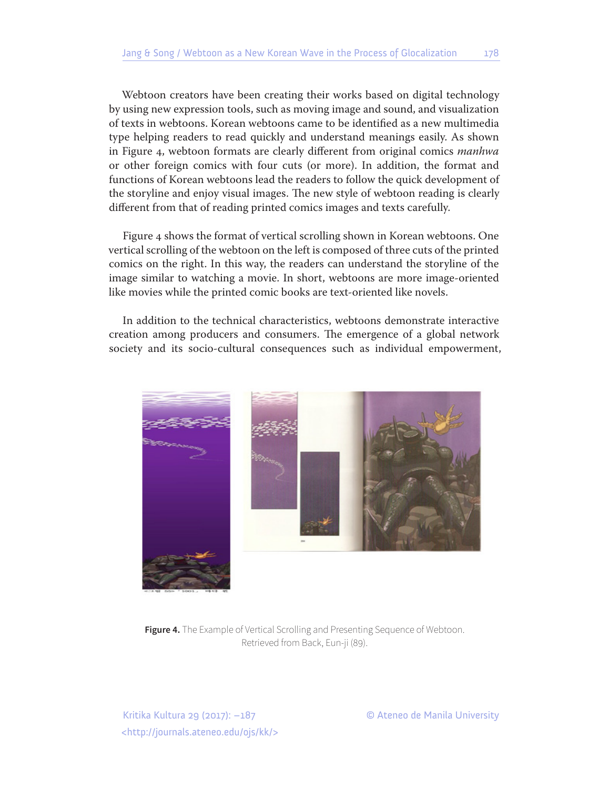Webtoon creators have been creating their works based on digital technology by using new expression tools, such as moving image and sound, and visualization of texts in webtoons. Korean webtoons came to be identified as a new multimedia type helping readers to read quickly and understand meanings easily. As shown in Figure 4, webtoon formats are clearly different from original comics *manhwa* or other foreign comics with four cuts (or more). In addition, the format and functions of Korean webtoons lead the readers to follow the quick development of the storyline and enjoy visual images. The new style of webtoon reading is clearly different from that of reading printed comics images and texts carefully.

Figure 4 shows the format of vertical scrolling shown in Korean webtoons. One vertical scrolling of the webtoon on the left is composed of three cuts of the printed comics on the right. In this way, the readers can understand the storyline of the image similar to watching a movie. In short, webtoons are more image-oriented like movies while the printed comic books are text-oriented like novels.

In addition to the technical characteristics, webtoons demonstrate interactive creation among producers and consumers. The emergence of a global network society and its socio-cultural consequences such as individual empowerment,



**Figure 4.** The Example of Vertical Scrolling and Presenting Sequence of Webtoon. Retrieved from Back, Eun-ji (89).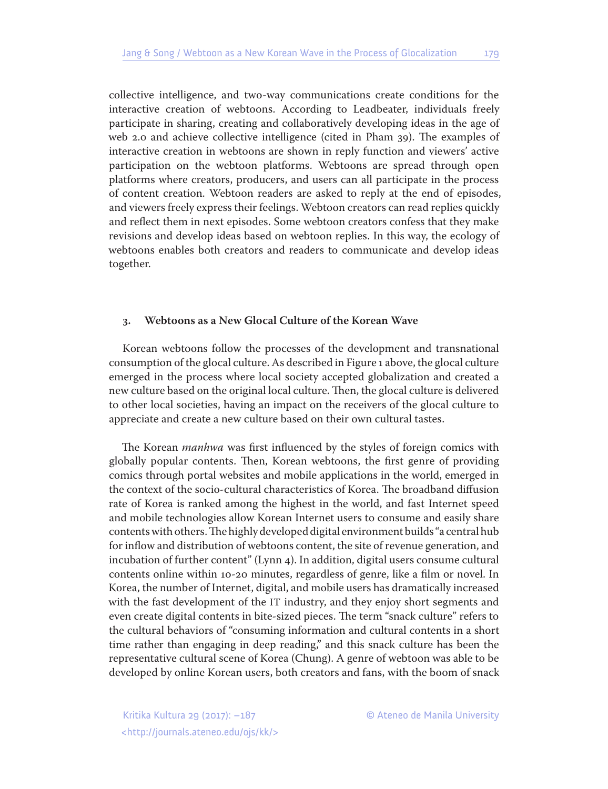collective intelligence, and two-way communications create conditions for the interactive creation of webtoons. According to Leadbeater, individuals freely participate in sharing, creating and collaboratively developing ideas in the age of web 2.0 and achieve collective intelligence (cited in Pham 39). The examples of interactive creation in webtoons are shown in reply function and viewers' active participation on the webtoon platforms. Webtoons are spread through open platforms where creators, producers, and users can all participate in the process of content creation. Webtoon readers are asked to reply at the end of episodes, and viewers freely express their feelings. Webtoon creators can read replies quickly and reflect them in next episodes. Some webtoon creators confess that they make revisions and develop ideas based on webtoon replies. In this way, the ecology of webtoons enables both creators and readers to communicate and develop ideas together.

#### **3. Webtoons as a New Glocal Culture of the Korean Wave**

Korean webtoons follow the processes of the development and transnational consumption of the glocal culture. As described in Figure 1 above, the glocal culture emerged in the process where local society accepted globalization and created a new culture based on the original local culture. Then, the glocal culture is delivered to other local societies, having an impact on the receivers of the glocal culture to appreciate and create a new culture based on their own cultural tastes.

The Korean *manhwa* was first influenced by the styles of foreign comics with globally popular contents. Then, Korean webtoons, the first genre of providing comics through portal websites and mobile applications in the world, emerged in the context of the socio-cultural characteristics of Korea. The broadband diffusion rate of Korea is ranked among the highest in the world, and fast Internet speed and mobile technologies allow Korean Internet users to consume and easily share contents with others. The highly developed digital environment builds "a central hub for inflow and distribution of webtoons content, the site of revenue generation, and incubation of further content" (Lynn 4). In addition, digital users consume cultural contents online within 10-20 minutes, regardless of genre, like a film or novel. In Korea, the number of Internet, digital, and mobile users has dramatically increased with the fast development of the IT industry, and they enjoy short segments and even create digital contents in bite-sized pieces. The term "snack culture" refers to the cultural behaviors of "consuming information and cultural contents in a short time rather than engaging in deep reading," and this snack culture has been the representative cultural scene of Korea (Chung). A genre of webtoon was able to be developed by online Korean users, both creators and fans, with the boom of snack

<http://journals.ateneo.edu/ojs/kk/>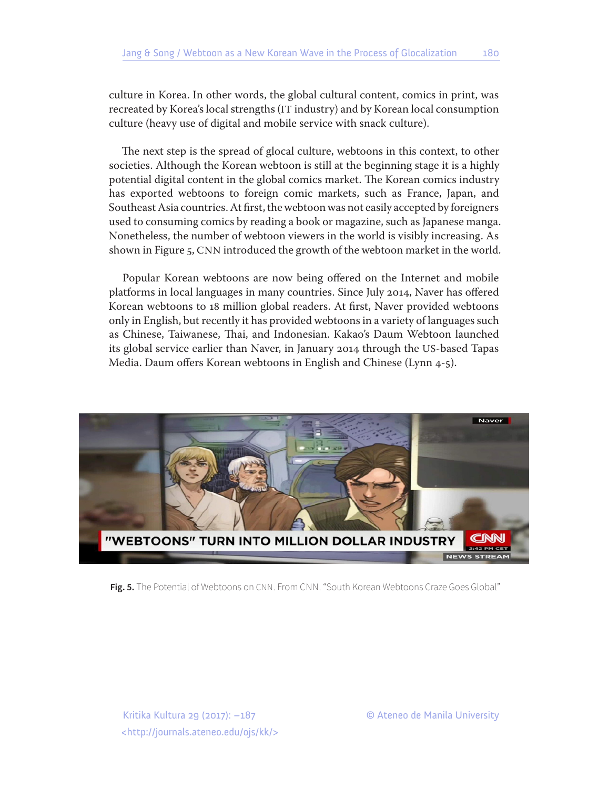culture in Korea. In other words, the global cultural content, comics in print, was recreated by Korea's local strengths (IT industry) and by Korean local consumption culture (heavy use of digital and mobile service with snack culture).

The next step is the spread of glocal culture, webtoons in this context, to other societies. Although the Korean webtoon is still at the beginning stage it is a highly potential digital content in the global comics market. The Korean comics industry has exported webtoons to foreign comic markets, such as France, Japan, and Southeast Asia countries. At first, the webtoon was not easily accepted by foreigners used to consuming comics by reading a book or magazine, such as Japanese manga. Nonetheless, the number of webtoon viewers in the world is visibly increasing. As shown in Figure 5, CNN introduced the growth of the webtoon market in the world.

Popular Korean webtoons are now being offered on the Internet and mobile platforms in local languages in many countries. Since July 2014, Naver has offered Korean webtoons to 18 million global readers. At first, Naver provided webtoons only in English, but recently it has provided webtoons in a variety of languages such as Chinese, Taiwanese, Thai, and Indonesian. Kakao's Daum Webtoon launched its global service earlier than Naver, in January 2014 through the US-based Tapas Media. Daum offers Korean webtoons in English and Chinese (Lynn 4-5).



**Fig. 5.** The Potential of Webtoons on CNN. From CNN. "South Korean Webtoons Craze Goes Global"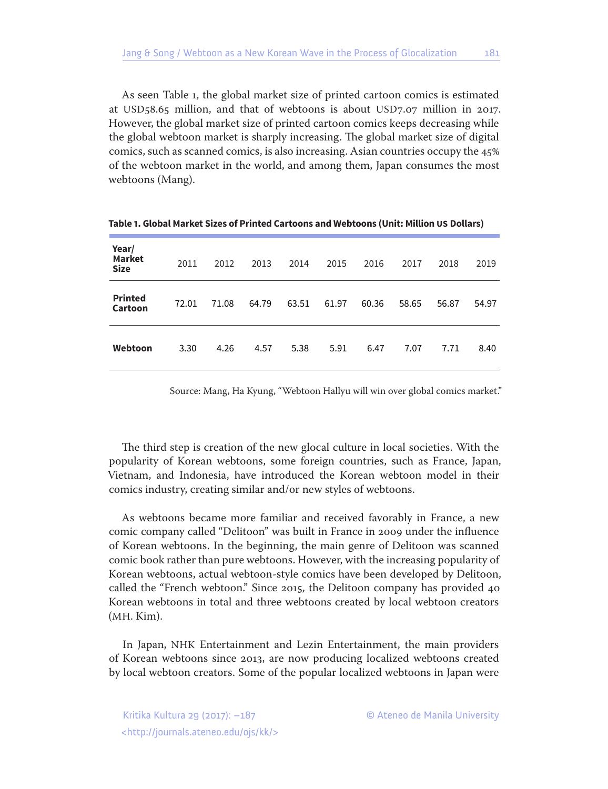As seen Table 1, the global market size of printed cartoon comics is estimated at USD58.65 million, and that of webtoons is about USD7.07 million in 2017. However, the global market size of printed cartoon comics keeps decreasing while the global webtoon market is sharply increasing. The global market size of digital comics, such as scanned comics, is also increasing. Asian countries occupy the 45% of the webtoon market in the world, and among them, Japan consumes the most webtoons (Mang).

| Year/<br><b>Market</b><br><b>Size</b> | 2011  | 2012  | 2013  | 2014  | 2015  | 2016  | 2017  | 2018  | 2019  |
|---------------------------------------|-------|-------|-------|-------|-------|-------|-------|-------|-------|
| <b>Printed</b><br><b>Cartoon</b>      | 72.01 | 71.08 | 64.79 | 63.51 | 61.97 | 60.36 | 58.65 | 56.87 | 54.97 |
| Webtoon                               | 3.30  | 4.26  | 4.57  | 5.38  | 5.91  | 6.47  | 7.07  | 7.71  | 8.40  |

**Table 1. Global Market Sizes of Printed Cartoons and Webtoons (Unit: Million US Dollars)**

Source: Mang, Ha Kyung, "Webtoon Hallyu will win over global comics market."

The third step is creation of the new glocal culture in local societies. With the popularity of Korean webtoons, some foreign countries, such as France, Japan, Vietnam, and Indonesia, have introduced the Korean webtoon model in their comics industry, creating similar and/or new styles of webtoons.

As webtoons became more familiar and received favorably in France, a new comic company called "Delitoon" was built in France in 2009 under the influence of Korean webtoons. In the beginning, the main genre of Delitoon was scanned comic book rather than pure webtoons. However, with the increasing popularity of Korean webtoons, actual webtoon-style comics have been developed by Delitoon, called the "French webtoon." Since 2015, the Delitoon company has provided 40 Korean webtoons in total and three webtoons created by local webtoon creators (MH. Kim).

In Japan, NHK Entertainment and Lezin Entertainment, the main providers of Korean webtoons since 2013, are now producing localized webtoons created by local webtoon creators. Some of the popular localized webtoons in Japan were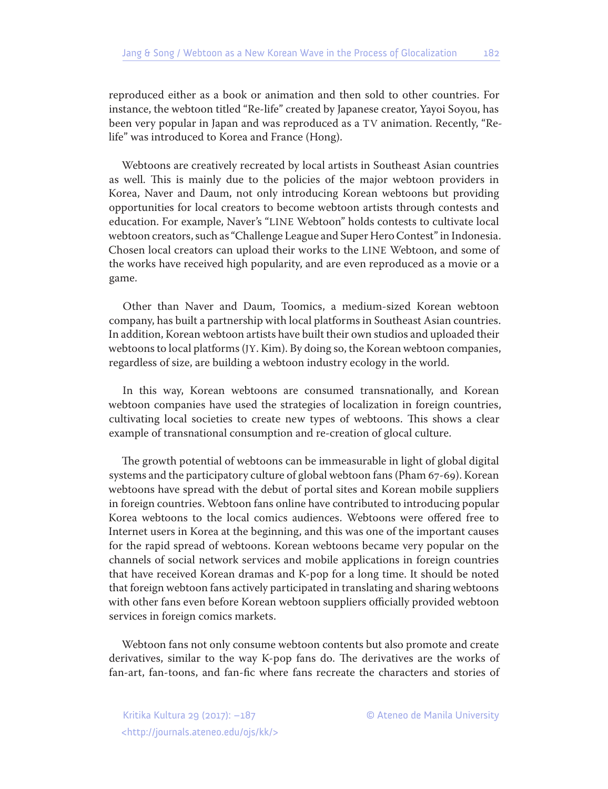reproduced either as a book or animation and then sold to other countries. For instance, the webtoon titled "Re-life" created by Japanese creator, Yayoi Soyou, has been very popular in Japan and was reproduced as a TV animation. Recently, "Relife" was introduced to Korea and France (Hong).

Webtoons are creatively recreated by local artists in Southeast Asian countries as well. This is mainly due to the policies of the major webtoon providers in Korea, Naver and Daum, not only introducing Korean webtoons but providing opportunities for local creators to become webtoon artists through contests and education. For example, Naver's "LINE Webtoon" holds contests to cultivate local webtoon creators, such as "Challenge League and Super Hero Contest" in Indonesia. Chosen local creators can upload their works to the LINE Webtoon, and some of the works have received high popularity, and are even reproduced as a movie or a game.

Other than Naver and Daum, Toomics, a medium-sized Korean webtoon company, has built a partnership with local platforms in Southeast Asian countries. In addition, Korean webtoon artists have built their own studios and uploaded their webtoons to local platforms (JY. Kim). By doing so, the Korean webtoon companies, regardless of size, are building a webtoon industry ecology in the world.

In this way, Korean webtoons are consumed transnationally, and Korean webtoon companies have used the strategies of localization in foreign countries, cultivating local societies to create new types of webtoons. This shows a clear example of transnational consumption and re-creation of glocal culture.

The growth potential of webtoons can be immeasurable in light of global digital systems and the participatory culture of global webtoon fans (Pham 67-69). Korean webtoons have spread with the debut of portal sites and Korean mobile suppliers in foreign countries. Webtoon fans online have contributed to introducing popular Korea webtoons to the local comics audiences. Webtoons were offered free to Internet users in Korea at the beginning, and this was one of the important causes for the rapid spread of webtoons. Korean webtoons became very popular on the channels of social network services and mobile applications in foreign countries that have received Korean dramas and K-pop for a long time. It should be noted that foreign webtoon fans actively participated in translating and sharing webtoons with other fans even before Korean webtoon suppliers officially provided webtoon services in foreign comics markets.

Webtoon fans not only consume webtoon contents but also promote and create derivatives, similar to the way K-pop fans do. The derivatives are the works of fan-art, fan-toons, and fan-fic where fans recreate the characters and stories of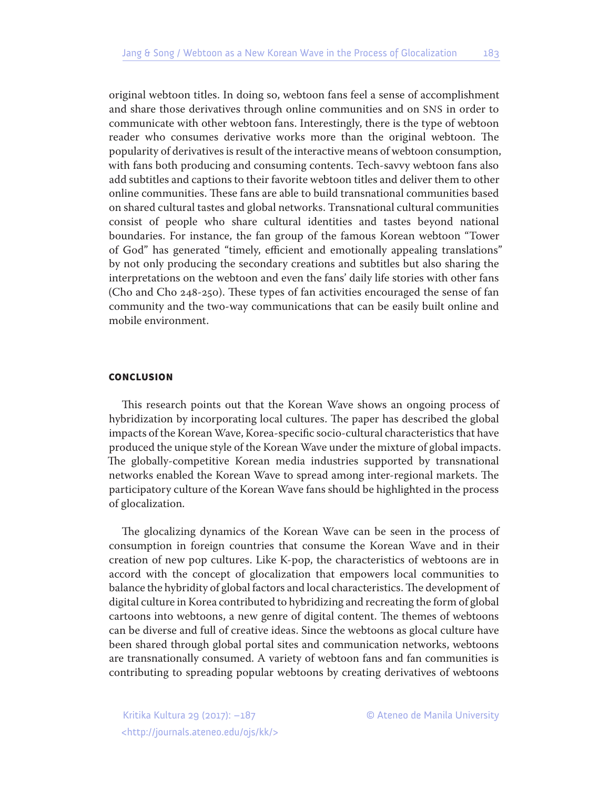original webtoon titles. In doing so, webtoon fans feel a sense of accomplishment and share those derivatives through online communities and on SNS in order to communicate with other webtoon fans. Interestingly, there is the type of webtoon reader who consumes derivative works more than the original webtoon. The popularity of derivatives is result of the interactive means of webtoon consumption, with fans both producing and consuming contents. Tech-savvy webtoon fans also add subtitles and captions to their favorite webtoon titles and deliver them to other online communities. These fans are able to build transnational communities based on shared cultural tastes and global networks. Transnational cultural communities consist of people who share cultural identities and tastes beyond national boundaries. For instance, the fan group of the famous Korean webtoon "Tower of God" has generated "timely, efficient and emotionally appealing translations" by not only producing the secondary creations and subtitles but also sharing the interpretations on the webtoon and even the fans' daily life stories with other fans (Cho and Cho 248-250). These types of fan activities encouraged the sense of fan community and the two-way communications that can be easily built online and mobile environment.

#### **CONCLUSION**

This research points out that the Korean Wave shows an ongoing process of hybridization by incorporating local cultures. The paper has described the global impacts of the Korean Wave, Korea-specific socio-cultural characteristics that have produced the unique style of the Korean Wave under the mixture of global impacts. The globally-competitive Korean media industries supported by transnational networks enabled the Korean Wave to spread among inter-regional markets. The participatory culture of the Korean Wave fans should be highlighted in the process of glocalization.

The glocalizing dynamics of the Korean Wave can be seen in the process of consumption in foreign countries that consume the Korean Wave and in their creation of new pop cultures. Like K-pop, the characteristics of webtoons are in accord with the concept of glocalization that empowers local communities to balance the hybridity of global factors and local characteristics. The development of digital culture in Korea contributed to hybridizing and recreating the form of global cartoons into webtoons, a new genre of digital content. The themes of webtoons can be diverse and full of creative ideas. Since the webtoons as glocal culture have been shared through global portal sites and communication networks, webtoons are transnationally consumed. A variety of webtoon fans and fan communities is contributing to spreading popular webtoons by creating derivatives of webtoons

<http://journals.ateneo.edu/ojs/kk/>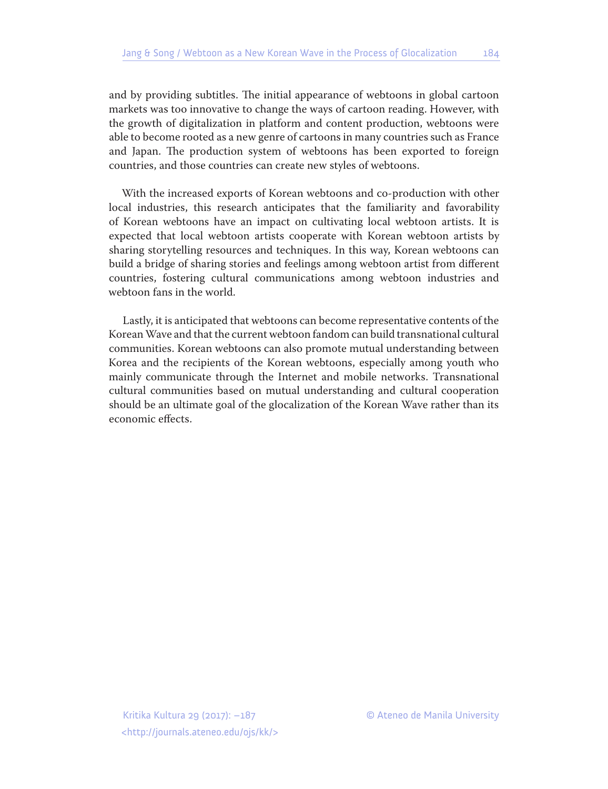and by providing subtitles. The initial appearance of webtoons in global cartoon markets was too innovative to change the ways of cartoon reading. However, with the growth of digitalization in platform and content production, webtoons were able to become rooted as a new genre of cartoons in many countries such as France and Japan. The production system of webtoons has been exported to foreign countries, and those countries can create new styles of webtoons.

With the increased exports of Korean webtoons and co-production with other local industries, this research anticipates that the familiarity and favorability of Korean webtoons have an impact on cultivating local webtoon artists. It is expected that local webtoon artists cooperate with Korean webtoon artists by sharing storytelling resources and techniques. In this way, Korean webtoons can build a bridge of sharing stories and feelings among webtoon artist from different countries, fostering cultural communications among webtoon industries and webtoon fans in the world.

Lastly, it is anticipated that webtoons can become representative contents of the Korean Wave and that the current webtoon fandom can build transnational cultural communities. Korean webtoons can also promote mutual understanding between Korea and the recipients of the Korean webtoons, especially among youth who mainly communicate through the Internet and mobile networks. Transnational cultural communities based on mutual understanding and cultural cooperation should be an ultimate goal of the glocalization of the Korean Wave rather than its economic effects.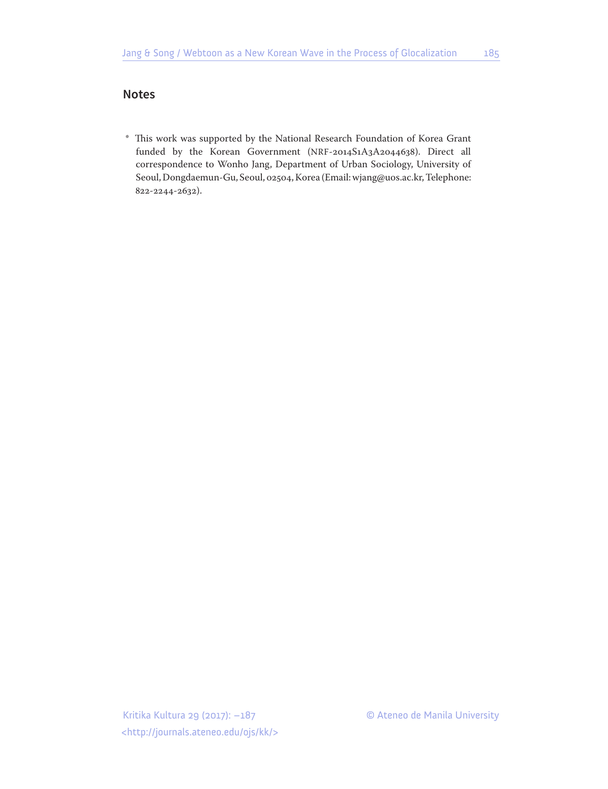# **Notes**

\* This work was supported by the National Research Foundation of Korea Grant funded by the Korean Government (NRF-2014S1A3A2044638). Direct all correspondence to Wonho Jang, Department of Urban Sociology, University of Seoul, Dongdaemun-Gu, Seoul, 02504, Korea (Email: wjang@uos.ac.kr, Telephone: 822-2244-2632).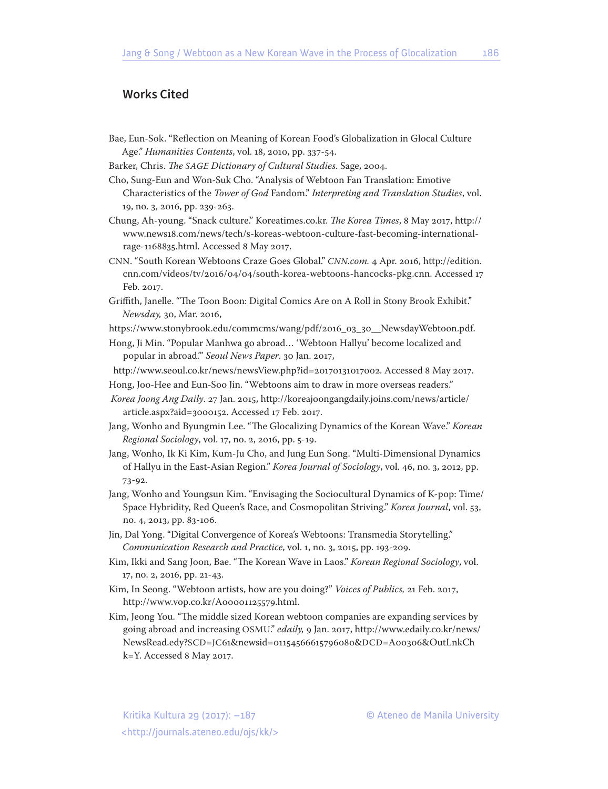# **Works Cited**

- Bae, Eun-Sok. "Reflection on Meaning of Korean Food's Globalization in Glocal Culture Age." *Humanities Contents*, vol. 18, 2010, pp. 337-54.
- Barker, Chris. *The SAGE Dictionary of Cultural Studies*. Sage, 2004.
- Cho, Sung-Eun and Won-Suk Cho. "Analysis of Webtoon Fan Translation: Emotive Characteristics of the *Tower of God* Fandom." *Interpreting and Translation Studies*, vol. 19, no. 3, 2016, pp. 239-263.
- Chung, Ah-young. "Snack culture." Koreatimes.co.kr. *The Korea Times*, 8 May 2017, http:// www.news18.com/news/tech/s-koreas-webtoon-culture-fast-becoming-internationalrage-1168835.html. Accessed 8 May 2017.
- CNN. "South Korean Webtoons Craze Goes Global." *CNN.com.* 4 Apr. 2016, http://edition. cnn.com/videos/tv/2016/04/04/south-korea-webtoons-hancocks-pkg.cnn. Accessed 17 Feb. 2017.
- Griffith, Janelle. "The Toon Boon: Digital Comics Are on A Roll in Stony Brook Exhibit." *Newsday,* 30, Mar. 2016,
- https://www.stonybrook.edu/commcms/wang/pdf/2016\_03\_30\_\_NewsdayWebtoon.pdf.
- Hong, Ji Min. "Popular Manhwa go abroad… 'Webtoon Hallyu' become localized and popular in abroad.'" *Seoul News Paper*. 30 Jan. 2017,
- http://www.seoul.co.kr/news/newsView.php?id=20170131017002. Accessed 8 May 2017.
- Hong, Joo-Hee and Eun-Soo Jin. "Webtoons aim to draw in more overseas readers."
- *Korea Joong Ang Daily*. 27 Jan. 2015, http://koreajoongangdaily.joins.com/news/article/ article.aspx?aid=3000152. Accessed 17 Feb. 2017.
- Jang, Wonho and Byungmin Lee. "The Glocalizing Dynamics of the Korean Wave." *Korean Regional Sociology*, vol. 17, no. 2, 2016, pp. 5-19.
- Jang, Wonho, Ik Ki Kim, Kum-Ju Cho, and Jung Eun Song. "Multi-Dimensional Dynamics of Hallyu in the East-Asian Region." *Korea Journal of Sociology*, vol. 46, no. 3, 2012, pp. 73-92.
- Jang, Wonho and Youngsun Kim. "Envisaging the Sociocultural Dynamics of K-pop: Time/ Space Hybridity, Red Queen's Race, and Cosmopolitan Striving." *Korea Journal*, vol. 53, no. 4, 2013, pp. 83-106.
- Jin, Dal Yong. "Digital Convergence of Korea's Webtoons: Transmedia Storytelling." *Communication Research and Practice*, vol. 1, no. 3, 2015, pp. 193-209.
- Kim, Ikki and Sang Joon, Bae. "The Korean Wave in Laos." *Korean Regional Sociology*, vol. 17, no. 2, 2016, pp. 21-43.
- Kim, In Seong. "Webtoon artists, how are you doing?" *Voices of Publics,* 21 Feb. 2017, http://www.vop.co.kr/A00001125579.html.
- Kim, Jeong You. "The middle sized Korean webtoon companies are expanding services by going abroad and increasing OSMU." *edaily,* 9 Jan. 2017, http://www.edaily.co.kr/news/ NewsRead.edy?SCD=JC61&newsid=01154566615796080&DCD=A00306&OutLnkCh k=Y. Accessed 8 May 2017.